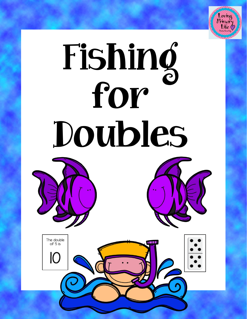

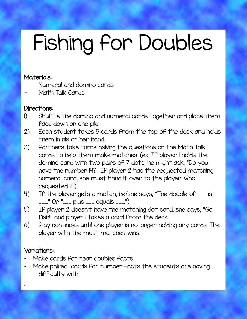# Fishing for Doubles

#### Materials:

- Numeral and domino cards
- Math Talk Cards

#### Directions:

- 1) Shuffle the domino and numeral cards together and place them face down on one pile.
- 2) Each student takes 5 cards from the top of the deck and holds them in his or her hand.
- 3) Partners take turns asking the questions on the Math Talk cards to help them make matches. (ex. If player 1 holds the domino card with two pairs of 7 dots, he might ask, "Do you have the number 14?" If player 2 has the requested matching numeral card, she must hand it over to the player who requested it.)
- 4) If the player gets a match, he/she says, "The double of \_\_\_ is \_\_\_." Or "\_\_\_ plus \_\_\_ equals \_\_\_.")
- 5) If player 2 doesn't have the matching dot card, she says, "Go fish!" and player 1 takes a card from the deck.
- 6) Play continues until one player is no longer holding any cards. The player with the most matches wins.

### Variations:.

- Make cards for near doubles facts
- Make paired cards for number facts the students are having difficulty with.

.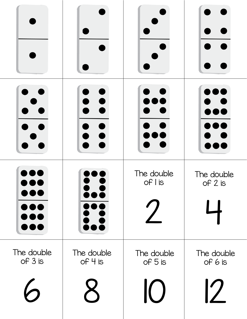|                       | $\overline{\phantom{a}}$ | The double<br>$of$ $\overline{\phantom{a}}$ is | The double<br>of 2 is                  |
|-----------------------|--------------------------|------------------------------------------------|----------------------------------------|
| The double<br>of 3 is | The double<br>of 4 is    | The double<br>of 5 is<br>$\overline{O}$        | The double<br>of 6 is<br>$\mathcal{D}$ |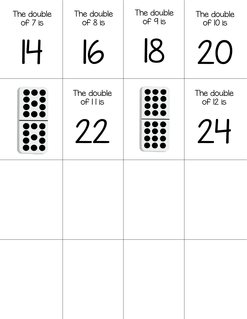| The double<br>of 7 is | The double<br>of 8 is   | The double<br>of 9 is | The double<br>of IO is       |
|-----------------------|-------------------------|-----------------------|------------------------------|
| 14                    | 16                      | 18                    | 20                           |
| 000<br>80             | The double<br>of I I is |                       | The double<br>of 12 is<br>24 |
|                       |                         |                       |                              |
|                       |                         |                       |                              |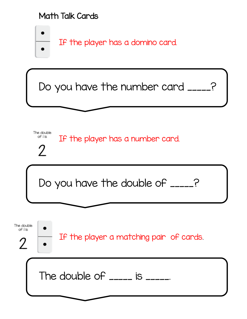